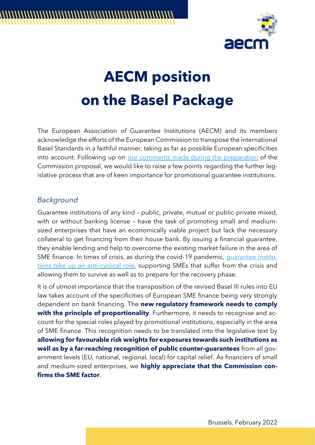

# **AECM position on the Basel Package**

The European Association of Guarantee Institutions (AECM) and its members acknowledge the efforts of the European Commission to transpose the international Basel Standards in a faithful manner, taking as far as possible European specificities into account. Following up on [our comments made during the preparation](https://aecm.eu/wp-content/uploads/2020/01/AECM-Position-on-the-transposition-of-the-finalised-Basel-III-rules-into-EU-law.pdf) of the Commission proposal, we would like to raise a few points regarding the further legislative process that are of keen importance for promotional guarantee institutions.

## *Background*

Guarantee institutions of any kind – public, private, mutual or public-private mixed, with or without banking license – have the task of promoting small and mediumsized enterprises that have an economically viable project but lack the necessary collateral to get financing from their house bank. By issuing a financial guarantee, they enable lending and help to overcome the existing market failure in the area of SME finance. In times of crisis, as during the covid-19 pandemic, [guarantee institu](https://www.flipsnack.com/aecmeurope/aecm-covid-brochure/full-view.html)[tions take up an anti-cyclical role,](https://www.flipsnack.com/aecmeurope/aecm-covid-brochure/full-view.html) supporting SMEs that suffer from the crisis and allowing them to survive as well as to prepare for the recovery phase.

It is of utmost importance that the transposition of the revised Basel III rules into EU law takes account of the specificities of European SME finance being very strongly dependent on bank financing. The **new regulatory framework needs to comply with the principle of proportionality**. Furthermore, it needs to recognise and account for the special roles played by promotional institutions, especially in the area of SME finance. This recognition needs to be translated into the legislative text by **allowing for favourable risk weights for exposures towards such institutions as well as by a far-reaching recognition of public counter-guarantees** from all government levels (EU, national, regional, local) for capital relief. As financiers of small and medium-sized enterprises, we **highly appreciate that the Commission confirms the SME factor**.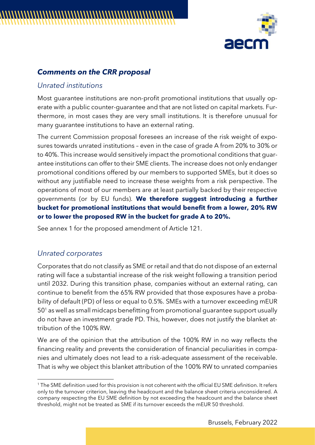

# *Comments on the CRR proposal*

#### *Unrated institutions*

Most guarantee institutions are non-profit promotional institutions that usually operate with a public counter-guarantee and that are not listed on capital markets. Furthermore, in most cases they are very small institutions. It is therefore unusual for many guarantee institutions to have an external rating.

The current Commission proposal foresees an increase of the risk weight of exposures towards unrated institutions – even in the case of grade A from 20% to 30% or to 40%. This increase would sensitively impact the promotional conditions that guarantee institutions can offer to their SME clients. The increase does not only endanger promotional conditions offered by our members to supported SMEs, but it does so without any justifiable need to increase these weights from a risk perspective. The operations of most of our members are at least partially backed by their respective governments (or by EU funds). **We therefore suggest introducing a further bucket for promotional institutions that would benefit from a lower, 20% RW or to lower the proposed RW in the bucket for grade A to 20%.**

See annex 1 for the proposed amendment of Article 121.

## *Unrated corporates*

Corporates that do not classify as SME or retail and that do not dispose of an external rating will face a substantial increase of the risk weight following a transition period until 2032. During this transition phase, companies without an external rating, can continue to benefit from the 65% RW provided that those exposures have a probability of default (PD) of less or equal to 0.5%. SMEs with a turnover exceeding mEUR 50<sup>1</sup> as well as small midcaps benefitting from promotional guarantee support usually do not have an investment grade PD. This, however, does not justify the blanket attribution of the 100% RW.

We are of the opinion that the attribution of the 100% RW in no way reflects the financing reality and prevents the consideration of financial peculiarities in companies and ultimately does not lead to a risk-adequate assessment of the receivable. That is why we object this blanket attribution of the 100% RW to unrated companies

<sup>1</sup> The SME definition used for this provision is not coherent with the official EU SME definition. It refers only to the turnover criterion, leaving the headcount and the balance sheet criteria unconsidered. A company respecting the EU SME definition by not exceeding the headcount and the balance sheet threshold, might not be treated as SME if its turnover exceeds the mEUR 50 threshold.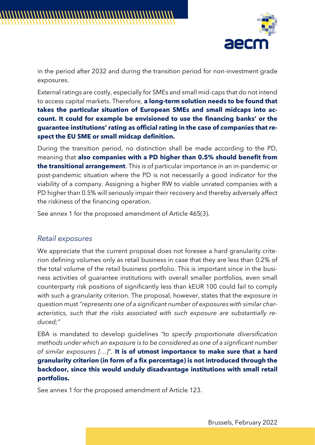

in the period after 2032 and during the transition period for non-investment grade exposures.

External ratings are costly, especially for SMEs and small mid-caps that do not intend to access capital markets. Therefore, **a long-term solution needs to be found that takes the particular situation of European SMEs and small midcaps into account. It could for example be envisioned to use the financing banks' or the guarantee institutions' rating as official rating in the case of companies that respect the EU SME or small midcap definition.** 

During the transition period, no distinction shall be made according to the PD, meaning that **also companies with a PD higher than 0.5% should benefit from the transitional arrangement**. This is of particular importance in an in-pandemic or post-pandemic situation where the PD is not necessarily a good indicator for the viability of a company. Assigning a higher RW to viable unrated companies with a PD higher than 0.5% will seriously impair their recovery and thereby adversely affect the riskiness of the financing operation.

See annex 1 for the proposed amendment of Article 465(3).

#### *Retail exposures*

We appreciate that the current proposal does not foresee a hard granularity criterion defining volumes only as retail business in case that they are less than 0.2% of the total volume of the retail business portfolio. This is important since in the business activities of guarantee institutions with overall smaller portfolios, even small counterparty risk positions of significantly less than kEUR 100 could fail to comply with such a granularity criterion. The proposal, however, states that the exposure in question must *"represents one of a significant number of exposures with similar characteristics, such that the risks associated with such exposure are substantially reduced;"*

EBA is mandated to develop guidelines *"to specify proportionate diversification methods under which an exposure is to be considered as one of a significant number of similar exposures […]".* **It is of utmost importance to make sure that a hard granularity criterion (in form of a fix percentage) is not introduced through the backdoor, since this would unduly disadvantage institutions with small retail portfolios.**

See annex 1 for the proposed amendment of Article 123.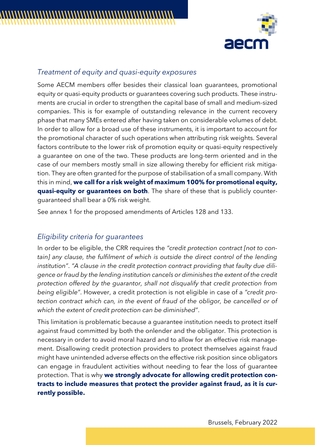



#### *Treatment of equity and quasi-equity exposures*

Some AECM members offer besides their classical loan guarantees, promotional equity or quasi-equity products or guarantees covering such products. These instruments are crucial in order to strengthen the capital base of small and medium-sized companies. This is for example of outstanding relevance in the current recovery phase that many SMEs entered after having taken on considerable volumes of debt. In order to allow for a broad use of these instruments, it is important to account for the promotional character of such operations when attributing risk weights. Several factors contribute to the lower risk of promotion equity or quasi-equity respectively a guarantee on one of the two. These products are long-term oriented and in the case of our members mostly small in size allowing thereby for efficient risk mitigation. They are often granted for the purpose of stabilisation of a small company. With this in mind, **we call for a risk weight of maximum 100% for promotional equity, quasi-equity or guarantees on both**. The share of these that is publicly counterguaranteed shall bear a 0% risk weight.

See annex 1 for the proposed amendments of Articles 128 and 133.

#### *Eligibility criteria for guarantees*

In order to be eligible, the CRR requires the *"credit protection contract [not to contain] any clause, the fulfilment of which is outside the direct control of the lending institution"*. *"A clause in the credit protection contract providing that faulty due diligence or fraud by the lending institution cancels or diminishes the extent of the credit protection offered by the guarantor, shall not disqualify that credit protection from being eligible"*. However, a credit protection is not eligible in case of a *"credit protection contract which can, in the event of fraud of the obligor, be cancelled or of which the extent of credit protection can be diminished"*.

This limitation is problematic because a guarantee institution needs to protect itself against fraud committed by both the onlender and the obligator. This protection is necessary in order to avoid moral hazard and to allow for an effective risk management. Disallowing credit protection providers to protect themselves against fraud might have unintended adverse effects on the effective risk position since obligators can engage in fraudulent activities without needing to fear the loss of guarantee protection. That is why **we strongly advocate for allowing credit protection contracts to include measures that protect the provider against fraud, as it is currently possible.**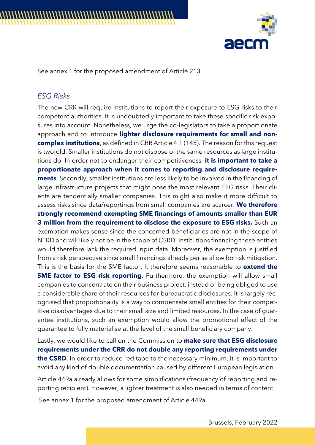



See annex 1 for the proposed amendment of Article 213.

#### *ESG Risks*

The new CRR will require institutions to report their exposure to ESG risks to their competent authorities. It is undoubtedly important to take these specific risk exposures into account. Nonetheless, we urge the co-legislators to take a proportionate approach and to introduce **lighter disclosure requirements for small and noncomplex institutions**, as defined in CRR Article 4.1 (145). The reason for this request is twofold. Smaller institutions do not dispose of the same resources as large institutions do. In order not to endanger their competitiveness, **it is important to take a proportionate approach when it comes to reporting and disclosure requirements**. Secondly, smaller institutions are less likely to be involved in the financing of large infrastructure projects that might pose the most relevant ESG risks. Their clients are tendentially smaller companies. This might also make it more difficult to assess risks since data/reportings from small companies are scarcer. **We therefore strongly recommend exempting SME financings of amounts smaller than EUR 3 million from the requirement to disclose the exposure to ESG risks.** Such an exemption makes sense since the concerned beneficiaries are not in the scope of NFRD and will likely not be in the scope of CSRD. Institutions financing these entities would therefore lack the required input data. Moreover, the exemption is justified from a risk perspective since small financings already per se allow for risk mitigation. This is the basis for the SME factor. It therefore seems reasonable to **extend the SME factor to ESG risk reporting**. Furthermore, the exemption will allow small companies to concentrate on their business project, instead of being obliged to use a considerable share of their resources for bureaucratic disclosures. It is largely recognised that proportionality is a way to compensate small entities for their competitive disadvantages due to their small size and limited resources. In the case of guarantee institutions, such an exemption would allow the promotional effect of the guarantee to fully materialise at the level of the small beneficiary company.

Lastly, we would like to call on the Commission to **make sure that ESG disclosure requirements under the CRR do not double any reporting requirements under the CSRD**. In order to reduce red tape to the necessary minimum, it is important to avoid any kind of double documentation caused by different European legislation.

Article 449a already allows for some simplifications (frequency of reporting and reporting recipient). However, a lighter treatment is also needed in terms of content.

See annex 1 for the proposed amendment of Article 449a.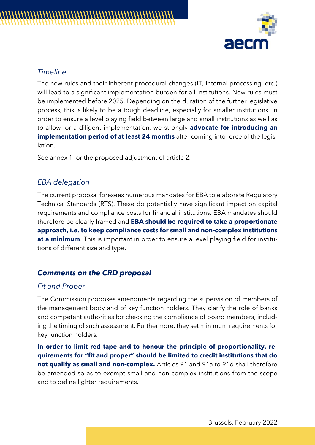

## *Timeline*

The new rules and their inherent procedural changes (IT, internal processing, etc.) will lead to a significant implementation burden for all institutions. New rules must be implemented before 2025. Depending on the duration of the further legislative process, this is likely to be a tough deadline, especially for smaller institutions. In order to ensure a level playing field between large and small institutions as well as to allow for a diligent implementation, we strongly **advocate for introducing an implementation period of at least 24 months** after coming into force of the legislation.

See annex 1 for the proposed adjustment of article 2.

# *EBA delegation*

The current proposal foresees numerous mandates for EBA to elaborate Regulatory Technical Standards (RTS). These do potentially have significant impact on capital requirements and compliance costs for financial institutions. EBA mandates should therefore be clearly framed and **EBA should be required to take a proportionate approach, i.e. to keep compliance costs for small and non-complex institutions**  at a minimum. This is important in order to ensure a level playing field for institutions of different size and type.

# *Comments on the CRD proposal*

## *Fit and Proper*

The Commission proposes amendments regarding the supervision of members of the management body and of key function holders. They clarify the role of banks and competent authorities for checking the compliance of board members, including the timing of such assessment. Furthermore, they set minimum requirements for key function holders.

**In order to limit red tape and to honour the principle of proportionality, requirements for "fit and proper" should be limited to credit institutions that do not qualify as small and non-complex.** Articles 91 and 91a to 91d shall therefore be amended so as to exempt small and non-complex institutions from the scope and to define lighter requirements.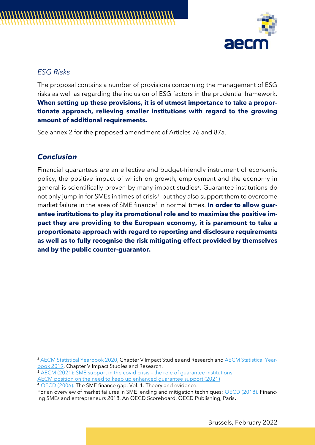

# *ESG Risks*

The proposal contains a number of provisions concerning the management of ESG risks as well as regarding the inclusion of ESG factors in the prudential framework. **When setting up these provisions, it is of utmost importance to take a proportionate approach, relieving smaller institutions with regard to the growing amount of additional requirements.**

See annex 2 for the proposed amendment of Articles 76 and 87a.

# *Conclusion*

Financial guarantees are an effective and budget-friendly instrument of economic policy, the positive impact of which on growth, employment and the economy in general is scientifically proven by many impact studies<sup>2</sup>. Guarantee institutions do not only jump in for SMEs in times of crisis<sup>3</sup>, but they also support them to overcome market failure in the area of SME finance<sup>4</sup> in normal times. **In order to allow guarantee institutions to play its promotional role and to maximise the positive impact they are providing to the European economy, it is paramount to take a proportionate approach with regard to reporting and disclosure requirements as well as to fully recognise the risk mitigating effect provided by themselves and by the public counter-guarantor.**

<sup>&</sup>lt;sup>2</sup> [AECM Statistical Yearbook 2020,](https://www.flipsnack.com/aecmeurope/aecm-statistical-yearbook-2020/full-view.html) Chapter V Impact Studies and Research and [AECM Statistical Year](https://aecm.eu/wp-content/uploads/2020/07/AECM-Statistical-Yearbook-2019.pdf)[book 2019,](https://aecm.eu/wp-content/uploads/2020/07/AECM-Statistical-Yearbook-2019.pdf) Chapter V Impact Studies and Research.

<sup>&</sup>lt;sup>3</sup> [AECM \(2021\): SME support in the covid crisis](https://www.flipsnack.com/aecmeurope/aecm-covid-brochure/full-view.html) - the role of quarantee institutions [AECM position on the need to keep up enhanced guarantee support \(2021\)](https://aecm.eu/wp-content/uploads/2021/03/202103_AECM-position-on-the-need-to-keep-up-enhanced-credit-guarantee-support.pdf)

<sup>4</sup> [OECD \(2006\).](https://www.oecd-ilibrary.org/finance-and-investment/the-sme-financing-gap-vol-i_9789264029415-en) The SME finance gap. Vol. 1. Theory and evidence.

For an overview of market failures in SME lending and mitigation techniques: [OECD \(2018\).](https://www.ggb.gr/sites/default/files/basic-page-files/OECD%20Scoreboard_%20Financing%20SMEs%20and%20Entrepreneurs_2018.pdf) Financing SMEs and entrepreneurs 2018. An OECD Scoreboard, OECD Publishing, Paris.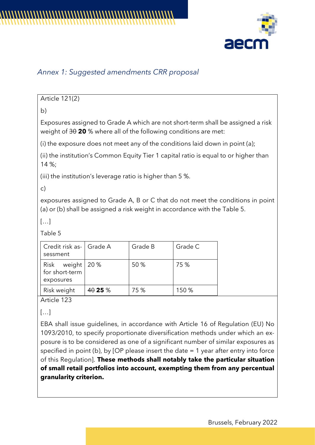



# *Annex 1: Suggested amendments CRR proposal*

Article 121(2)

b)

Exposures assigned to Grade A which are not short-term shall be assigned a risk weight of 30 **20** % where all of the following conditions are met:

(i) the exposure does not meet any of the conditions laid down in point (a);

(ii) the institution's Common Equity Tier 1 capital ratio is equal to or higher than 14 %;

(iii) the institution's leverage ratio is higher than 5 %.

c)

exposures assigned to Grade A, B or C that do not meet the conditions in point (a) or (b) shall be assigned a risk weight in accordance with the Table 5.

 $[\dots]$ 

Table 5

| Credit risk as-   Grade A<br>sessment             |       | Grade B | Grade C |
|---------------------------------------------------|-------|---------|---------|
| Risk weight   20 %<br>for short-term<br>exposures |       | 50 %    | 75 %    |
| Risk weight                                       | 4025% | 75 %    | 150 %   |

Article 123

[…]

EBA shall issue guidelines, in accordance with Article 16 of Regulation (EU) No 1093/2010, to specify proportionate diversification methods under which an exposure is to be considered as one of a significant number of similar exposures as specified in point (b), by [OP please insert the date  $= 1$  year after entry into force of this Regulation]. **These methods shall notably take the particular situation of small retail portfolios into account, exempting them from any percentual granularity criterion.**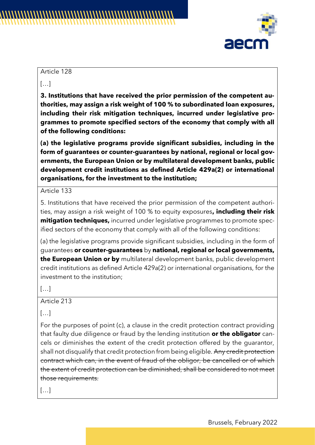

#### Article 128

[…]

**3. Institutions that have received the prior permission of the competent authorities, may assign a risk weight of 100 % to subordinated loan exposures, including their risk mitigation techniques, incurred under legislative programmes to promote specified sectors of the economy that comply with all of the following conditions:**

**(a) the legislative programs provide significant subsidies, including in the form of guarantees or counter-guarantees by national, regional or local governments, the European Union or by multilateral development banks, public development credit institutions as defined Article 429a(2) or international organisations, for the investment to the institution;**

Article 133

5. Institutions that have received the prior permission of the competent authorities, may assign a risk weight of 100 % to equity exposures**, including their risk mitigation techniques,** incurred under legislative programmes to promote specified sectors of the economy that comply with all of the following conditions:

(a) the legislative programs provide significant subsidies, including in the form of guarantees **or counter-guarantees** by **national, regional or local governments, the European Union or by** multilateral development banks, public development credit institutions as defined Article 429a(2) or international organisations, for the investment to the institution;

[…]

#### Article 213

 $[...]$ 

For the purposes of point (c), a clause in the credit protection contract providing that faulty due diligence or fraud by the lending institution **or the obligator** cancels or diminishes the extent of the credit protection offered by the guarantor, shall not disqualify that credit protection from being eligible. Any credit protection contract which can, in the event of fraud of the obligor, be cancelled or of which the extent of credit protection can be diminished, shall be considered to not meet those requirements.

 $[...]$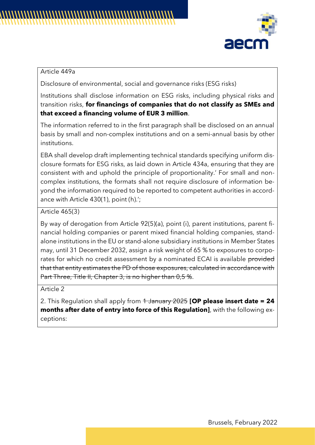

#### Article 449a

Disclosure of environmental, social and governance risks (ESG risks)

Institutions shall disclose information on ESG risks, including physical risks and transition risks, **for financings of companies that do not classify as SMEs and that exceed a financing volume of EUR 3 million**.

The information referred to in the first paragraph shall be disclosed on an annual basis by small and non-complex institutions and on a semi-annual basis by other institutions.

EBA shall develop draft implementing technical standards specifying uniform disclosure formats for ESG risks, as laid down in Article 434a, ensuring that they are consistent with and uphold the principle of proportionality.' For small and noncomplex institutions, the formats shall not require disclosure of information beyond the information required to be reported to competent authorities in accordance with Article 430(1), point (h).';

Article 465(3)

By way of derogation from Article 92(5)(a), point (i), parent institutions, parent financial holding companies or parent mixed financial holding companies, standalone institutions in the EU or stand-alone subsidiary institutions in Member States may, until 31 December 2032, assign a risk weight of 65 % to exposures to corporates for which no credit assessment by a nominated ECAI is available provided that that entity estimates the PD of those exposures, calculated in accordance with Part Three, Title II, Chapter 3, is no higher than 0,5 %.

Article 2

2. This Regulation shall apply from  $\frac{4 \text{ January } 2025}{20}$  **[OP please insert date = 24 months after date of entry into force of this Regulation]**, with the following exceptions: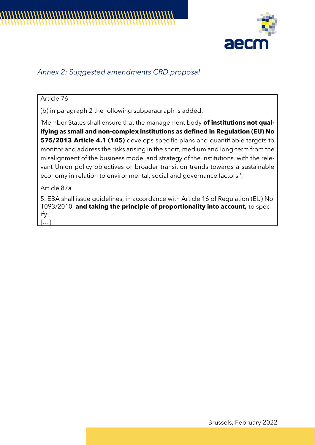



# *Annex 2: Suggested amendments CRD proposal*

#### Article 76

(b) in paragraph 2 the following subparagraph is added:

'Member States shall ensure that the management body **of institutions not qualifying as small and non-complex institutions as defined in Regulation (EU) No 575/2013 Article 4.1 (145)** develops specific plans and quantifiable targets to monitor and address the risks arising in the short, medium and long-term from the misalignment of the business model and strategy of the institutions, with the relevant Union policy objectives or broader transition trends towards a sustainable economy in relation to environmental, social and governance factors.';

Article 87a

5. EBA shall issue guidelines, in accordance with Article 16 of Regulation (EU) No 1093/2010, **and taking the principle of proportionality into account,** to specify:  $[...]$